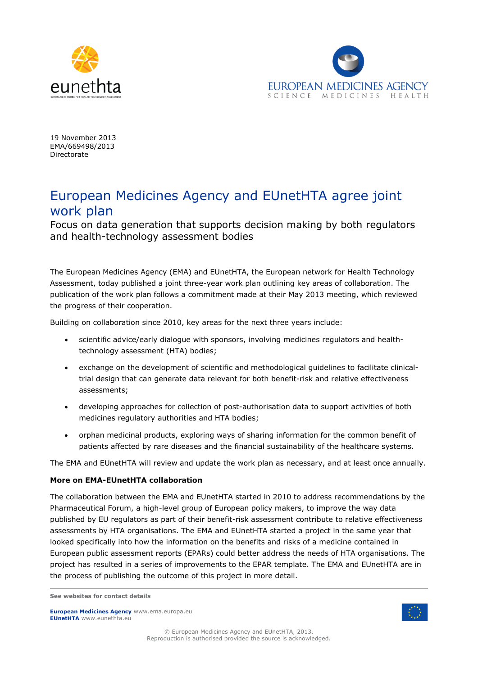



19 November 2013 EMA/669498/2013 Directorate

## European Medicines Agency and EUnetHTA agree joint work plan

Focus on data generation that supports decision making by both regulators and health-technology assessment bodies

The European Medicines Agency (EMA) and EUnetHTA, the European network for Health Technology Assessment, today published a joint three-year work plan outlining key areas of collaboration. The publication of the work plan follows a commitment made at their May 2013 meeting, which reviewed the progress of their cooperation.

Building on collaboration since 2010, key areas for the next three years include:

- scientific advice/early dialogue with sponsors, involving medicines regulators and healthtechnology assessment (HTA) bodies;
- exchange on the development of scientific and methodological guidelines to facilitate clinicaltrial design that can generate data relevant for both benefit-risk and relative effectiveness assessments;
- developing approaches for collection of post-authorisation data to support activities of both medicines regulatory authorities and HTA bodies;
- orphan medicinal products, exploring ways of sharing information for the common benefit of patients affected by rare diseases and the financial sustainability of the healthcare systems.

The EMA and EUnetHTA will review and update the work plan as necessary, and at least once annually.

## **More on EMA-EUnetHTA collaboration**

The collaboration between the EMA and EUnetHTA started in 2010 to address recommendations by the Pharmaceutical Forum, a high-level group of European policy makers, to improve the way data published by EU regulators as part of their benefit-risk assessment contribute to relative effectiveness assessments by HTA organisations. The EMA and EUnetHTA started a project in the same year that looked specifically into how the information on the benefits and risks of a medicine contained in European public assessment reports (EPARs) could better address the needs of HTA organisations. The project has resulted in a series of improvements to the EPAR template. The EMA and EUnetHTA are in the process of publishing the outcome of this project in more detail.

**European Medicines Agency** www.ema.europa.eu **EUnetHTA** www.eunethta.eu



**See websites for contact details**